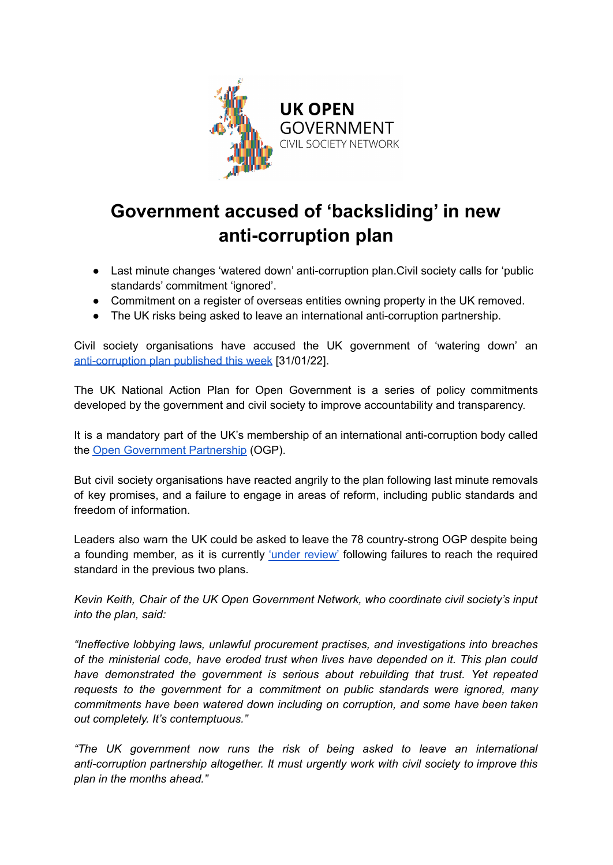

## **Government accused of 'backsliding' in new anti-corruption plan**

- Last minute changes 'watered down' anti-corruption plan.Civil society calls for 'public standards' commitment 'ignored'.
- Commitment on a register of overseas entities owning property in the UK removed.
- The UK risks being asked to leave an international anti-corruption partnership.

Civil society organisations have accused the UK government of 'watering down' an [anti-corruption](https://www.gov.uk/government/publications/uk-national-action-plan-for-open-government-2021-2023) plan published this week [31/01/22].

The UK National Action Plan for Open Government is a series of policy commitments developed by the government and civil society to improve accountability and transparency.

It is a mandatory part of the UK's membership of an international anti-corruption body called the Open [Government](https://www.opengovpartnership.org/) Partnership (OGP).

But civil society organisations have reacted angrily to the plan following last minute removals of key promises, and a failure to engage in areas of reform, including public standards and freedom of information.

Leaders also warn the UK could be asked to leave the 78 country-strong OGP despite being a founding member, as it is currently 'under [review'](https://www.opengovpartnership.org/documents/united-kingdom-under-review-letter-february-2021/) following failures to reach the required standard in the previous two plans.

*Kevin Keith, Chair of the UK Open Government Network, who coordinate civil society's input into the plan, said:*

*"Ineffective lobbying laws, unlawful procurement practises, and investigations into breaches of the ministerial code, have eroded trust when lives have depended on it. This plan could have demonstrated the government is serious about rebuilding that trust. Yet repeated requests to the government for a commitment on public standards were ignored, many commitments have been watered down including on corruption, and some have been taken out completely. It's contemptuous."*

*"The UK government now runs the risk of being asked to leave an international anti-corruption partnership altogether. It must urgently work with civil society to improve this plan in the months ahead."*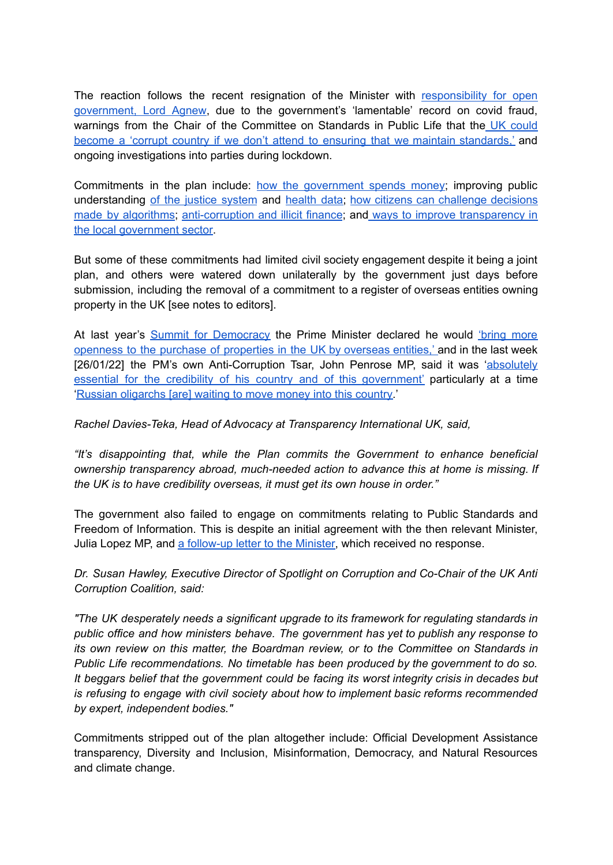The reaction follows the recent resignation of the Minister with [responsibility](https://www.bbc.co.uk/news/uk-politics-60117513) for open [government,](https://www.bbc.co.uk/news/uk-politics-60117513) Lord Agnew, due to the government's 'lamentable' record on covid fraud, warnings from the Chair of the Committee on Standards in Public Life that the UK [could](https://www.independent.co.uk/news/uk/politics/sleaze-lord-evans-standards-paterson-b1956603.html) become a 'corrupt country if we don't attend to ensuring that we maintain [standards,'](https://www.independent.co.uk/news/uk/politics/sleaze-lord-evans-standards-paterson-b1956603.html) and ongoing investigations into parties during lockdown.

Commitments in the plan include: how the [government](https://www.gov.uk/government/publications/uk-national-action-plan-for-open-government-2021-2023/uk-national-action-plan-for-open-government-2021-2023#commitment-1-open-contracting) spends money; improving public understanding of the justice [system](https://www.gov.uk/government/publications/uk-national-action-plan-for-open-government-2021-2023/uk-national-action-plan-for-open-government-2021-2023#commitment-2-open-justice) and [health](https://www.gov.uk/government/publications/uk-national-action-plan-for-open-government-2021-2023/uk-national-action-plan-for-open-government-2021-2023#commitment-4-health) data; how citizens can [challenge](https://www.gov.uk/government/publications/uk-national-action-plan-for-open-government-2021-2023/uk-national-action-plan-for-open-government-2021-2023#commitment-3-algorithmic-transparency-and-accountability) decisions made by [algorithms](https://www.gov.uk/government/publications/uk-national-action-plan-for-open-government-2021-2023/uk-national-action-plan-for-open-government-2021-2023#commitment-3-algorithmic-transparency-and-accountability); [anti-corruption](https://www.gov.uk/government/publications/uk-national-action-plan-for-open-government-2021-2023/uk-national-action-plan-for-open-government-2021-2023#commitment-5-anti-corruption-and-international-illicit-finance) and illicit finance; and ways to improve [transparency](https://www.gov.uk/government/publications/uk-national-action-plan-for-open-government-2021-2023/uk-national-action-plan-for-open-government-2021-2023#local-transparency) in the local [government](https://www.gov.uk/government/publications/uk-national-action-plan-for-open-government-2021-2023/uk-national-action-plan-for-open-government-2021-2023#local-transparency) sector.

But some of these commitments had limited civil society engagement despite it being a joint plan, and others were watered down unilaterally by the government just days before submission, including the removal of a commitment to a register of overseas entities owning property in the UK [see notes to editors].

At last year's Summit for [Democracy](https://www.gov.uk/government/speeches/pm-remarks-summit-for-democracy-9-december-2021) the Prime Minister declared he would ['bring](https://www.gov.uk/government/speeches/pm-remarks-summit-for-democracy-9-december-2021) more openness to the purchase of [properties](https://www.gov.uk/government/speeches/pm-remarks-summit-for-democracy-9-december-2021) in the UK by overseas entities,' and in the last week [26/01/22] the PM's own Anti-Corruption Tsar, John Penrose MP, said it was ['absolutely](https://www.theguardian.com/business/2022/jan/26/ministers-criticised-for-not-tackling-londons-reputation-as-money-laundering-hub) essential for the credibility of his country and of this [government'](https://www.theguardian.com/business/2022/jan/26/ministers-criticised-for-not-tackling-londons-reputation-as-money-laundering-hub) particularly at a time 'Russian [oligarchs](https://www.theguardian.com/business/2022/jan/26/ministers-criticised-for-not-tackling-londons-reputation-as-money-laundering-hub) [are] waiting to move money into this country.'

*Rachel Davies-Teka, Head of Advocacy at Transparency International UK, said,*

*"It's disappointing that, while the Plan commits the Government to enhance beneficial ownership transparency abroad, much-needed action to advance this at home is missing. If the UK is to have credibility overseas, it must get its own house in order."*

The government also failed to engage on commitments relating to Public Standards and Freedom of Information. This is despite an initial agreement with the then relevant Minister, Julia Lopez MP, and a [follow-up](https://docs.google.com/document/d/1_t2aFH7_62Yfl2mXbysybMxedrQt2S8XvxPHMIzW_hw/edit?usp=sharing) letter to the Minister, which received no response.

*Dr. Susan Hawley, Executive Director of Spotlight on Corruption and Co-Chair of the UK Anti Corruption Coalition, said:*

*"The UK desperately needs a significant upgrade to its framework for regulating standards in public office and how ministers behave. The government has yet to publish any response to its own review on this matter, the Boardman review, or to the Committee on Standards in Public Life recommendations. No timetable has been produced by the government to do so. It beggars belief that the government could be facing its worst integrity crisis in decades but is refusing to engage with civil society about how to implement basic reforms recommended by expert, independent bodies."*

Commitments stripped out of the plan altogether include: Official Development Assistance transparency, Diversity and Inclusion, Misinformation, Democracy, and Natural Resources and climate change.